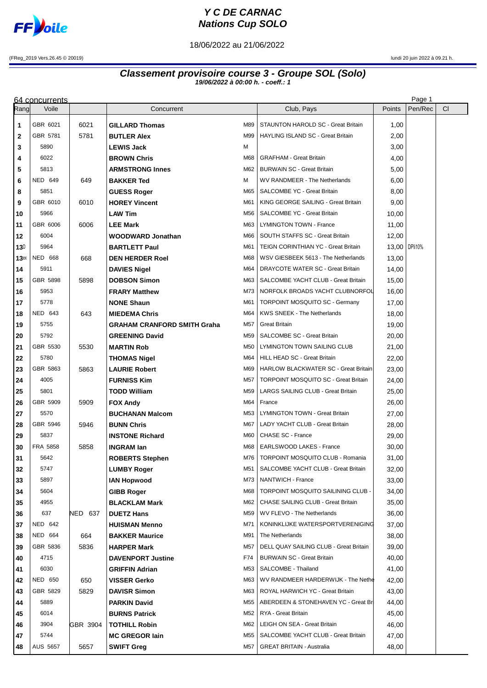

## **Y C DE CARNAC Nations Cup SOLO**

18/06/2022 au 21/06/2022

(FReg\_2019 Vers.26.45 © 20019) lundi 20 juin 2022 à 09.21 h.

## **Classement provisoire course 3 - Groupe SOL (Solo) 19/06/2022 à 00:00 h. - coeff.: 1**

|                 | 64 concurrents          |          |                                              |            |                                                              |                 | Page 1  |    |
|-----------------|-------------------------|----------|----------------------------------------------|------------|--------------------------------------------------------------|-----------------|---------|----|
| Rangl           | Voile                   |          | Concurrent                                   |            | Club, Pays                                                   | Points          | Pen/Rec | CI |
| 1               | GBR 6021                | 6021     | <b>GILLARD Thomas</b>                        | M89        | STAUNTON HAROLD SC - Great Britain                           | 1,00            |         |    |
| $\mathbf{2}$    | GBR 5781                | 5781     | <b>BUTLER Alex</b>                           | M99        | HAYLING ISLAND SC - Great Britain                            | 2,00            |         |    |
| 3               | 5890                    |          | <b>LEWIS Jack</b>                            | м          |                                                              | 3,00            |         |    |
| 4               | 6022                    |          | <b>BROWN Chris</b>                           | M68        | <b>GRAFHAM - Great Britain</b>                               | 4,00            |         |    |
| 5               | 5813                    |          | <b>ARMSTRONG Innes</b>                       | M62        | <b>BURWAIN SC - Great Britain</b>                            | 5,00            |         |    |
| 6               | <b>NED 649</b>          | 649      | <b>BAKKER Ted</b>                            | м          | WV RANDMEER - The Netherlands                                | 6,00            |         |    |
| 8               | 5851                    |          | <b>GUESS Roger</b>                           | M65        | SALCOMBE YC - Great Britain                                  | 8,00            |         |    |
| 9               | GBR 6010                | 6010     | <b>HOREY Vincent</b>                         | M61        | KING GEORGE SAILING - Great Britain                          | 9,00            |         |    |
| 10              | 5966                    |          | <b>LAW Tim</b>                               | M56        | SALCOMBE YC - Great Britain                                  | 10,00           |         |    |
| 11              | GBR 6006                | 6006     | <b>LEE Mark</b>                              | M63        | LYMINGTON TOWN - France                                      | 11,00           |         |    |
| 12              | 6004                    |          | <b>WOODWARD Jonathan</b>                     | M66        | SOUTH STAFFS SC - Great Britain                              | 12,00           |         |    |
| 13 <sup>D</sup> | 5964                    |          | <b>BARTLETT Paul</b>                         | M61        | TEIGN CORINTHIAN YC - Great Britain                          | 13,00   DPIi10% |         |    |
| 13ex            | <b>NED 668</b>          | 668      | <b>DEN HERDER Roel</b>                       | M68        | WSV GIESBEEK 5613 - The Netherlands                          | 13,00           |         |    |
| 14              | 5911                    |          | <b>DAVIES Nigel</b>                          | M64        | DRAYCOTE WATER SC - Great Britain                            | 14,00           |         |    |
| 15              | GBR 5898                | 5898     | <b>DOBSON Simon</b>                          | M63        | SALCOMBE YACHT CLUB - Great Britain                          | 15,00           |         |    |
| 16              | 5953                    |          | <b>FRARY Matthew</b>                         | M73        | NORFOLK BROADS YACHT CLUBNORFOL                              | 16,00           |         |    |
| 17              | 5778                    |          | <b>NONE Shaun</b>                            | M61        | <b>TORPOINT MOSQUITO SC - Germany</b>                        | 17,00           |         |    |
| 18              | <b>NED 643</b>          | 643      | <b>MIEDEMA Chris</b>                         | M64        | <b>KWS SNEEK - The Netherlands</b>                           | 18,00           |         |    |
| 19              | 5755                    |          | <b>GRAHAM CRANFORD SMITH Graha</b>           | M57        | Great Britain                                                | 19,00           |         |    |
| 20              | 5792                    |          | <b>GREENING David</b>                        | M59        | <b>SALCOMBE SC - Great Britain</b>                           | 20,00           |         |    |
| 21              | GBR 5530                | 5530     | <b>MARTIN Rob</b>                            | M50        | LYMINGTON TOWN SAILING CLUB                                  | 21,00           |         |    |
| 22              | 5780                    |          | THOMAS Nigel                                 | M64        | HILL HEAD SC - Great Britain                                 | 22,00           |         |    |
| 23              | GBR 5863                | 5863     | <b>LAURIE Robert</b>                         | M69        | HARLOW BLACKWATER SC - Great Britain                         | 23,00           |         |    |
| 24              | 4005                    |          | <b>FURNISS Kim</b>                           | M57        | <b>TORPOINT MOSQUITO SC - Great Britain</b>                  | 24,00           |         |    |
| 25              | 5801                    |          | TODD William                                 | M59        | LARGS SAILING CLUB - Great Britain                           | 25,00           |         |    |
| 26              | GBR 5909                | 5909     | <b>FOX Andy</b>                              | M64        | France                                                       | 26,00           |         |    |
| 27              | 5570                    |          | <b>BUCHANAN Malcom</b>                       | M53        | LYMINGTON TOWN - Great Britain                               | 27,00           |         |    |
| 28              | GBR 5946                | 5946     | <b>BUNN Chris</b>                            | M67        | LADY YACHT CLUB - Great Britain                              | 28,00           |         |    |
| 29              | 5837<br><b>FRA 5858</b> |          | <b>INSTONE Richard</b>                       | M60        | CHASE SC - France                                            | 29,00           |         |    |
| 30<br>31        | 5642                    | 5858     | <b>INGRAM lan</b>                            | M68<br>M76 | EARLSWOOD LAKES - France<br>TORPOINT MOSQUITO CLUB - Romania | 30,00<br>31,00  |         |    |
| 32              | 5747                    |          | <b>ROBERTS Stephen</b><br><b>LUMBY Roger</b> | M51        | SALCOMBE YACHT CLUB - Great Britain                          | 32,00           |         |    |
| 33              | 5897                    |          | <b>IAN Hopwood</b>                           | M73        | NANTWICH - France                                            | 33,00           |         |    |
| 34              | 5604                    |          | <b>GIBB Roger</b>                            | M68        | TORPOINT MOSQUITO SAILINING CLUB -                           | 34,00           |         |    |
| 35              | 4955                    |          | <b>BLACKLAM Mark</b>                         | M62        | CHASE SAILING CLUB - Great Britain                           | 35,00           |         |    |
| 36              | 637                     | NED 637  | <b>DUETZ Hans</b>                            | M59        | WV FLEVO - The Netherlands                                   | 36,00           |         |    |
| 37              | <b>NED 642</b>          |          | <b>HUISMAN Menno</b>                         | M71        | KONINKLIJKE WATERSPORTVERENIGING                             | 37,00           |         |    |
| 38              | <b>NED 664</b>          | 664      | <b>BAKKER Maurice</b>                        | M91        | The Netherlands                                              | 38,00           |         |    |
| 39              | GBR 5836                | 5836     | <b>HARPER Mark</b>                           | M57        | DELL QUAY SAILING CLUB - Great Britain                       | 39,00           |         |    |
| 40              | 4715                    |          | <b>DAVENPORT Justine</b>                     | F74        | <b>BURWAIN SC - Great Britain</b>                            | 40,00           |         |    |
| 41              | 6030                    |          | <b>GRIFFIN Adrian</b>                        | M53        | SALCOMBE - Thailand                                          | 41,00           |         |    |
| 42              | <b>NED 650</b>          | 650      | <b>VISSER Gerko</b>                          | M63        | WV RANDMEER HARDERWIJK - The Nethe                           | 42,00           |         |    |
| 43              | GBR 5829                | 5829     | <b>DAVISR Simon</b>                          | M63        | ROYAL HARWICH YC - Great Britain                             | 43,00           |         |    |
| 44              | 5889                    |          | PARKIN David                                 | M55        | ABERDEEN & STONEHAVEN YC - Great Bri                         | 44,00           |         |    |
| 45              | 6014                    |          | <b>BURNS Patrick</b>                         | M52        | RYA - Great Britain                                          | 45,00           |         |    |
| 46              | 3904                    | GBR 3904 | <b>TOTHILL Robin</b>                         | M62        | LEIGH ON SEA - Great Britain                                 | 46,00           |         |    |
| 47              | 5744                    |          | <b>MC GREGOR lain</b>                        | M55        | SALCOMBE YACHT CLUB - Great Britain                          | 47,00           |         |    |
| 48              | <b>AUS 5657</b>         | 5657     | <b>SWIFT Greg</b>                            | M57        | <b>GREAT BRITAIN - Australia</b>                             | 48,00           |         |    |